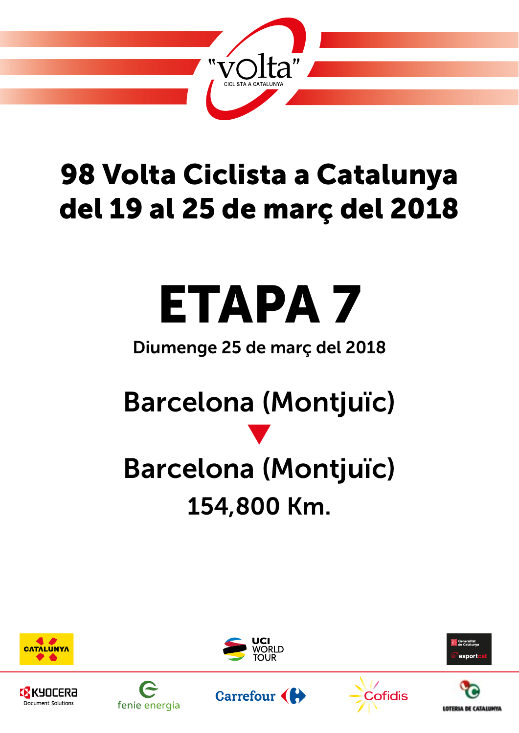

## 98 Volta Ciclista a Catalunya del 19 al 25 de març del 2018

# ETAPA 7

### Diumenge 25 de març del 2018

## Barcelona (Montjuïc)

## q Barcelona (Montjuïc) 154,800 Km.





Carrefour (





**Cofidis** 

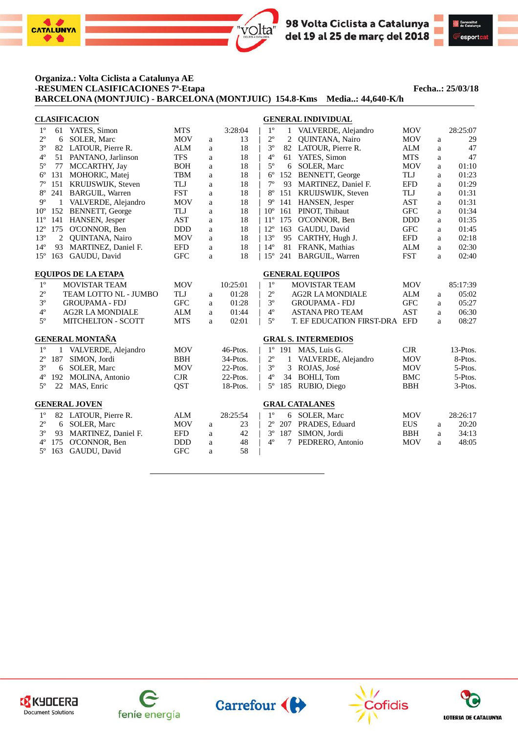

#### **Organiza.: Volta Ciclista a Catalunya AE -RESUMEN CLASIFICACIONES 7ª-Etapa Fecha..: 25/03/18 BARCELONA (MONTJUIC) - BARCELONA (MONTJUIC) 154.8-Kms Media..: 44,640-K/h**

|              |                | <b>CLASIFICACION</b>       |            |             |          | <b>GENERAL INDIVIDUAL</b>  |              |                               |            |   |          |  |
|--------------|----------------|----------------------------|------------|-------------|----------|----------------------------|--------------|-------------------------------|------------|---|----------|--|
| $1^{\circ}$  | 61             | YATES, Simon               | <b>MTS</b> |             | 3:28:04  | $1^{\circ}$                | $\mathbf{1}$ | VALVERDE, Alejandro           | <b>MOV</b> |   | 28:25:07 |  |
| $2^{\circ}$  | 6              | <b>SOLER, Marc</b>         | <b>MOV</b> | a           | 13       | $2^{\circ}$                | 2            | <b>OUINTANA, Nairo</b>        | <b>MOV</b> | a | 29       |  |
| $3^{\circ}$  |                | 82 LATOUR, Pierre R.       | <b>ALM</b> | a           | 18       | $3^{\circ}$                |              | 82 LATOUR, Pierre R.          | <b>ALM</b> | a | 47       |  |
| $4^{\circ}$  | 51             | PANTANO, Jarlinson         | <b>TFS</b> | a           | 18       | $4^{\circ}$                |              | 61 YATES, Simon               | <b>MTS</b> | a | 47       |  |
| $5^{\circ}$  | 77             | MCCARTHY, Jay              | <b>BOH</b> | a           | 18       | $5^{\circ}$                | 6            | <b>SOLER, Marc</b>            | <b>MOV</b> | a | 01:10    |  |
| $6^{\circ}$  | 131            | MOHORIC, Matej             | <b>TBM</b> | a           | 18       | $6^{\circ}$                | 152          | BENNETT, George               | <b>TLJ</b> | a | 01:23    |  |
| $7^{\circ}$  | 151            | KRUIJSWIJK, Steven         | TLJ        | $\mathbf a$ | 18       | $7^{\circ}$                | 93           | MARTINEZ, Daniel F.           | <b>EFD</b> | a | 01:29    |  |
| $8^{\circ}$  | 241            | <b>BARGUIL, Warren</b>     | <b>FST</b> | $\rm{a}$    | 18       | $8^{\circ}$                |              | 151 KRUIJSWIJK, Steven        | TLJ        | a | 01:31    |  |
| $9^{\circ}$  |                | VALVERDE, Alejandro        | <b>MOV</b> | a           | 18       | $9^{\circ}$                | 141          | HANSEN, Jesper                | <b>AST</b> | a | 01:31    |  |
| $10^{\circ}$ | 152            | BENNETT, George            | TLJ        | a           | 18       | $10^{\circ}$               | 161          | PINOT, Thibaut                | <b>GFC</b> | a | 01:34    |  |
| $11^{\circ}$ | 141            | HANSEN, Jesper             | <b>AST</b> | a           | 18       | $11^{\circ}$               | 175          | O'CONNOR, Ben                 | <b>DDD</b> | a | 01:35    |  |
| $12^{\circ}$ | 175            | O'CONNOR, Ben              | <b>DDD</b> | a           | 18       | $12^{\circ}$               | 163          | GAUDU, David                  | <b>GFC</b> | a | 01:45    |  |
| $13^{\circ}$ | $\overline{c}$ | QUINTANA, Nairo            | <b>MOV</b> | a           | 18       | $13^{\circ}$               | 95           | CARTHY, Hugh J.               | <b>EFD</b> | a | 02:18    |  |
| $14^{\circ}$ | 93             | MARTINEZ, Daniel F.        | <b>EFD</b> | a           | 18       | $14^{\circ}$               | 81           | FRANK, Mathias                | <b>ALM</b> | a | 02:30    |  |
| $15^{\circ}$ | 163            | GAUDU, David               | <b>GFC</b> | a           | 18       | $15^{\circ}$               | 241          | <b>BARGUIL, Warren</b>        | <b>FST</b> | a | 02:40    |  |
|              |                |                            |            |             |          |                            |              |                               |            |   |          |  |
|              |                | <b>EQUIPOS DE LA ETAPA</b> |            |             |          |                            |              | <b>GENERAL EQUIPOS</b>        |            |   |          |  |
| $1^{\circ}$  |                | <b>MOVISTAR TEAM</b>       | <b>MOV</b> |             | 10:25:01 | $1^{\circ}$                |              | <b>MOVISTAR TEAM</b>          | <b>MOV</b> |   | 85:17:39 |  |
| $2^{\rm o}$  |                | TEAM LOTTO NL - JUMBO      | TLJ        | a           | 01:28    | $2^{\rm o}$                |              | <b>AG2R LA MONDIALE</b>       | <b>ALM</b> | a | 05:02    |  |
| $3^{\rm o}$  |                | <b>GROUPAMA - FDJ</b>      | <b>GFC</b> | a           | 01:28    | $3^{\circ}$                |              | <b>GROUPAMA - FDJ</b>         | <b>GFC</b> | a | 05:27    |  |
| $4^{\rm o}$  |                | <b>AG2R LA MONDIALE</b>    | <b>ALM</b> | a           | 01:44    | $4^{\circ}$                |              | <b>ASTANA PRO TEAM</b>        | <b>AST</b> | a | 06:30    |  |
| $5^{\circ}$  |                | <b>MITCHELTON - SCOTT</b>  | <b>MTS</b> | a           | 02:01    | $5^{\circ}$                |              | T. EF EDUCATION FIRST-DRA EFD |            | a | 08:27    |  |
|              |                | <b>GENERAL MONTAÑA</b>     |            |             |          | <b>GRAL S. INTERMEDIOS</b> |              |                               |            |   |          |  |
| $1^{\circ}$  |                | 1 VALVERDE, Alejandro      | <b>MOV</b> |             | 46-Ptos. | $1^{\circ}$                |              | 191 MAS, Luis G.              | CJR        |   | 13-Ptos. |  |
| $2^{\circ}$  | 187            | SIMON, Jordi               | <b>BBH</b> |             | 34-Ptos. | $2^{\circ}$                | 1            | VALVERDE, Alejandro           | <b>MOV</b> |   | 8-Ptos.  |  |
| $3^{\circ}$  |                | 6 SOLER, Marc              | <b>MOV</b> |             | 22-Ptos. | $3^{\circ}$                | 3            | ROJAS, José                   | <b>MOV</b> |   | 5-Ptos.  |  |
| $4^{\circ}$  | 192            | MOLINA, Antonio            | CJR        |             | 22-Ptos. | $4^{\circ}$                | 34           | <b>BOHLI, Tom</b>             | <b>BMC</b> |   | 5-Ptos.  |  |
| $5^{\circ}$  |                | 22 MAS, Enric              | QST        |             | 18-Ptos. | $5^{\circ}$                | 185          | RUBIO, Diego                  | <b>BBH</b> |   | 3-Ptos.  |  |
|              |                |                            |            |             |          |                            |              |                               |            |   |          |  |
|              |                | <b>GENERAL JOVEN</b>       |            |             |          |                            |              | <b>GRAL CATALANES</b>         |            |   |          |  |
| $1^{\circ}$  |                | 82 LATOUR, Pierre R.       | <b>ALM</b> |             | 28:25:54 | $1^{\circ}$                | 6            | SOLER, Marc                   | <b>MOV</b> |   | 28:26:17 |  |
| $2^{\circ}$  |                | 6 SOLER, Marc              | <b>MOV</b> | a           | 23       | $2^{\circ}$                |              | 207 PRADES, Eduard            | <b>EUS</b> | a | 20:20    |  |
| $3^{\circ}$  | 93             | MARTINEZ, Daniel F.        | <b>EFD</b> | a           | 42       | $3^{\circ}$                | 187          | SIMON, Jordi                  | <b>BBH</b> | a | 34:13    |  |
| $4^{\circ}$  | 175            | O'CONNOR, Ben              | <b>DDD</b> | a           | 48       | $4^{\circ}$                | 7            | PEDRERO, Antonio              | <b>MOV</b> | a | 48:05    |  |
| $5^{\circ}$  | 163            | GAUDU, David               | <b>GFC</b> | a           | 58       |                            |              |                               |            |   |          |  |











Generalitat<br>de Catalunya esport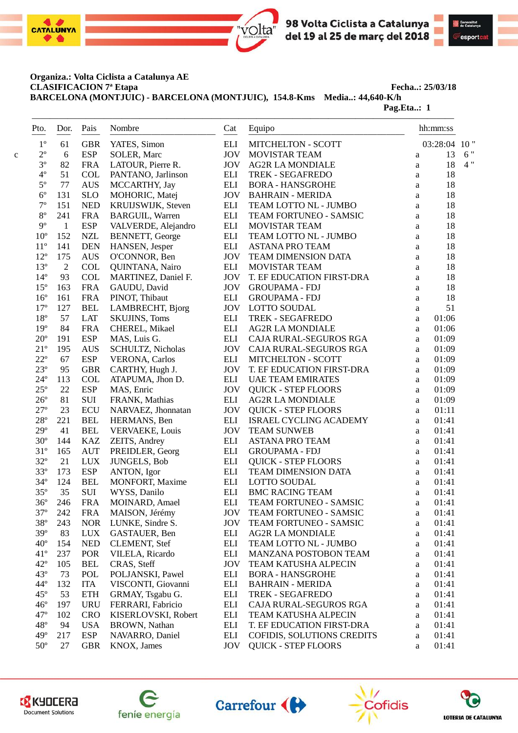



#### **Organiza.: Volta Ciclista a Catalunya AE CLASIFICACION 7ª Etapa Fecha..: 25/03/18**

**BARCELONA (MONTJUIC) - BARCELONA (MONTJUIC), 154.8-Kms Media..: 44,640-K/h**

**Pag.Eta..: 1** 

| Pto.<br>- - -   | Dor.         | Pais       | Nombre                 | Cat                | Equipo<br>--------------    |              | hh:mm:ss     |
|-----------------|--------------|------------|------------------------|--------------------|-----------------------------|--------------|--------------|
| $1^{\circ}$     | 61           | <b>GBR</b> | YATES, Simon           | <b>ELI</b>         | MITCHELTON - SCOTT          |              | 03:28:04 10" |
| $2^{\circ}$     | 6            | <b>ESP</b> | SOLER, Marc            | <b>JOV</b>         | <b>MOVISTAR TEAM</b>        | $\rm{a}$     | 13           |
| $3^{\circ}$     | 82           | <b>FRA</b> | LATOUR, Pierre R.      | <b>JOV</b>         | <b>AG2R LA MONDIALE</b>     | a            | 18           |
| $4^{\circ}$     | 51           | <b>COL</b> | PANTANO, Jarlinson     | ELI                | TREK - SEGAFREDO            | a            | 18           |
| $5^{\circ}$     | 77           | <b>AUS</b> | MCCARTHY, Jay          | $\mathop{\rm ELI}$ | <b>BORA - HANSGROHE</b>     | $\rm{a}$     | 18           |
| $6^{\circ}$     | 131          | <b>SLO</b> | MOHORIC, Matej         | <b>JOV</b>         | <b>BAHRAIN - MERIDA</b>     | $\rm{a}$     | 18           |
| $7^{\circ}$     | 151          | <b>NED</b> | KRUIJSWIJK, Steven     | <b>ELI</b>         | TEAM LOTTO NL - JUMBO       | a            | 18           |
| $8^{\rm o}$     | 241          | <b>FRA</b> | <b>BARGUIL, Warren</b> | $\mathop{\rm ELI}$ | TEAM FORTUNEO - SAMSIC      | a            | 18           |
| $9^{\circ}$     | $\mathbf{1}$ | <b>ESP</b> | VALVERDE, Alejandro    | $\mathop{\rm ELI}$ | MOVISTAR TEAM               | a            | 18           |
| 10 <sup>o</sup> | 152          | <b>NZL</b> | <b>BENNETT, George</b> | $\mathop{\rm ELI}$ | TEAM LOTTO NL - JUMBO       | a            | 18           |
| $11^{\circ}$    | 141          | <b>DEN</b> | HANSEN, Jesper         | <b>ELI</b>         | <b>ASTANA PRO TEAM</b>      | $\rm{a}$     | 18           |
| $12^{\circ}$    | 175          | <b>AUS</b> | O'CONNOR, Ben          | <b>JOV</b>         | TEAM DIMENSION DATA         | a            | 18           |
| $13^{\circ}$    | $\mathbf{2}$ | COL        | QUINTANA, Nairo        | $\mathop{\rm ELI}$ | MOVISTAR TEAM               | a            | 18           |
| $14^{\circ}$    | 93           | COL        | MARTINEZ, Daniel F.    | <b>JOV</b>         | T. EF EDUCATION FIRST-DRA   | a            | 18           |
| $15^{\circ}$    | 163          | <b>FRA</b> | GAUDU, David           | <b>JOV</b>         | <b>GROUPAMA - FDJ</b>       | $\rm{a}$     | 18           |
| $16^{\circ}$    | 161          | <b>FRA</b> | PINOT, Thibaut         | $\mathop{\rm ELI}$ | <b>GROUPAMA - FDJ</b>       | $\rm{a}$     | 18           |
| $17^{\circ}$    | 127          | <b>BEL</b> | LAMBRECHT, Bjorg       | <b>JOV</b>         | <b>LOTTO SOUDAL</b>         | $\rm{a}$     | 51           |
| $18^{\circ}$    | 57           | <b>LAT</b> | <b>SKUJINS, Toms</b>   | $\mathop{\rm ELI}$ | TREK - SEGAFREDO            | $\rm{a}$     | 01:06        |
| $19^{\circ}$    | 84           | <b>FRA</b> | CHEREL, Mikael         | $\mathop{\rm ELI}$ | <b>AG2R LA MONDIALE</b>     | a            | 01:06        |
| $20^{\circ}$    | 191          | <b>ESP</b> | MAS, Luis G.           | <b>ELI</b>         | CAJA RURAL-SEGUROS RGA      | a            | 01:09        |
| $21^{\circ}$    | 195          | <b>AUS</b> | SCHULTZ, Nicholas      | <b>JOV</b>         | CAJA RURAL-SEGUROS RGA      | a            | 01:09        |
| $22^{\circ}$    | 67           | <b>ESP</b> | <b>VERONA</b> , Carlos | ELI                | MITCHELTON - SCOTT          | $\mathbf{a}$ | 01:09        |
| $23^{\circ}$    | 95           | <b>GBR</b> | CARTHY, Hugh J.        | <b>JOV</b>         | T. EF EDUCATION FIRST-DRA   | $\rm{a}$     | 01:09        |
| $24^{\circ}$    | 113          | COL        | ATAPUMA, Jhon D.       | <b>ELI</b>         | <b>UAE TEAM EMIRATES</b>    | $\rm{a}$     | 01:09        |
| $25^{\circ}$    | 22           | <b>ESP</b> | MAS, Enric             | <b>JOV</b>         | <b>QUICK - STEP FLOORS</b>  | $\rm{a}$     | 01:09        |
| $26^{\circ}$    | 81           | $\rm SUI$  | FRANK, Mathias         | ELI                | <b>AG2R LA MONDIALE</b>     | a            | 01:09        |
| $27^{\circ}$    | 23           | <b>ECU</b> | NARVAEZ, Jhonnatan     | <b>JOV</b>         | <b>QUICK - STEP FLOORS</b>  | a            | 01:11        |
| $28^{\circ}$    | 221          | <b>BEL</b> | HERMANS, Ben           | <b>ELI</b>         | ISRAEL CYCLING ACADEMY      | a            | 01:41        |
| $29^{\circ}$    | 41           | <b>BEL</b> | <b>VERVAEKE, Louis</b> | <b>JOV</b>         | <b>TEAM SUNWEB</b>          | $\mathbf{a}$ | 01:41        |
| $30^{\circ}$    | 144          | <b>KAZ</b> | ZEITS, Andrey          | $\mathop{\rm ELI}$ | <b>ASTANA PRO TEAM</b>      | $\mathbf{a}$ | 01:41        |
| $31^{\circ}$    | 165          | <b>AUT</b> |                        | $\mathop{\rm ELI}$ | <b>GROUPAMA - FDJ</b>       |              | 01:41        |
| $32^{\circ}$    |              |            | PREIDLER, Georg        |                    |                             | $\rm{a}$     | 01:41        |
|                 | 21           | <b>LUX</b> | <b>JUNGELS, Bob</b>    | ELI                | <b>QUICK - STEP FLOORS</b>  | a            |              |
| $33^{\circ}$    | 173          | <b>ESP</b> | ANTON, Igor            | $\mathop{\rm ELI}$ | TEAM DIMENSION DATA         | a            | 01:41        |
| $34^{\circ}$    | 124          | <b>BEL</b> | MONFORT, Maxime        | $\mathop{\rm ELI}$ | <b>LOTTO SOUDAL</b>         | a            | 01:41        |
| $35^{\circ}$    | 35           | SUI        | WYSS, Danilo           | $\mathop{\rm ELI}$ | <b>BMC RACING TEAM</b>      | $\mathbf{a}$ | 01:41        |
| $36^{\circ}$    | 246          | <b>FRA</b> | <b>MOINARD, Amael</b>  | <b>ELI</b>         | TEAM FORTUNEO - SAMSIC      | a            | 01:41        |
| $37^{\circ}$    | 242          | <b>FRA</b> | MAISON, Jérémy         | JOV                | TEAM FORTUNEO - SAMSIC      | a            | 01:41        |
| 38°             | 243          | <b>NOR</b> | LUNKE, Sindre S.       | <b>JOV</b>         | TEAM FORTUNEO - SAMSIC      | a            | 01:41        |
| $39^\circ$      | 83           | <b>LUX</b> | GASTAUER, Ben          | ELI                | <b>AG2R LA MONDIALE</b>     | a            | 01:41        |
| $40^{\circ}$    | 154          | <b>NED</b> | <b>CLEMENT, Stef</b>   | ELI                | TEAM LOTTO NL - JUMBO       | a            | 01:41        |
| $41^{\circ}$    | 237          | POR        | VILELA, Ricardo        | ELI                | MANZANA POSTOBON TEAM       | a            | 01:41        |
| $42^{\circ}$    | 105          | <b>BEL</b> | CRAS, Steff            | <b>JOV</b>         | <b>TEAM KATUSHA ALPECIN</b> | a            | 01:41        |
| $43^{\circ}$    | 73           | POL        | POLJANSKI, Pawel       | ELI                | <b>BORA - HANSGROHE</b>     | a            | 01:41        |
| $44^{\circ}$    | 132          | <b>ITA</b> | VISCONTI, Giovanni     | $\mathop{\rm ELI}$ | <b>BAHRAIN - MERIDA</b>     | a            | 01:41        |
| $45^{\circ}$    | 53           | <b>ETH</b> | GRMAY, Tsgabu G.       | ELI                | TREK - SEGAFREDO            | a            | 01:41        |
| $46^{\circ}$    | 197          | <b>URU</b> | FERRARI, Fabricio      | ELI                | CAJA RURAL-SEGUROS RGA      | a            | 01:41        |
| $47^{\circ}$    | 102          | <b>CRO</b> | KISERLOVSKI, Robert    | ELI                | <b>TEAM KATUSHA ALPECIN</b> | a            | 01:41        |
| $48^{\circ}$    | 94           | <b>USA</b> | BROWN, Nathan          | ELI                | T. EF EDUCATION FIRST-DRA   | a            | 01:41        |
| $49^\circ$      | 217          | <b>ESP</b> | NAVARRO, Daniel        | ELI                | COFIDIS, SOLUTIONS CREDITS  | a            | 01:41        |
| $50^{\circ}$    | 27           | <b>GBR</b> | KNOX, James            | <b>JOV</b>         | <b>QUICK - STEP FLOORS</b>  | a            | 01:41        |









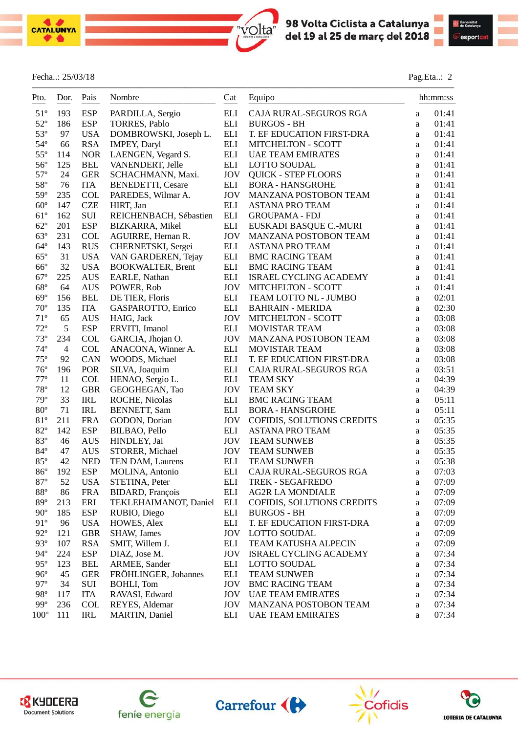



#### Fecha..: 25/03/18 Pag.Eta..: 2

| Pto.                         | Dor.<br>$---$  | Pais<br>$- - - -$ | Nombre                         | Cat<br>$- - -$     | Equipo<br>-----------------------                    |          | hh:mm:ss |
|------------------------------|----------------|-------------------|--------------------------------|--------------------|------------------------------------------------------|----------|----------|
| $51^{\circ}$                 | 193            | <b>ESP</b>        | PARDILLA, Sergio               | $\mathop{\rm ELI}$ | CAJA RURAL-SEGUROS RGA                               | a        | 01:41    |
| $52^{\circ}$                 | 186            | <b>ESP</b>        | TORRES, Pablo                  | <b>ELI</b>         | <b>BURGOS - BH</b>                                   | a        | 01:41    |
| $53^{\circ}$                 | 97             | <b>USA</b>        | DOMBROWSKI, Joseph L.          | <b>ELI</b>         | T. EF EDUCATION FIRST-DRA                            | a        | 01:41    |
| $54^{\circ}$                 | 66             | <b>RSA</b>        | <b>IMPEY, Daryl</b>            | <b>ELI</b>         | <b>MITCHELTON - SCOTT</b>                            | a        | 01:41    |
| $55^{\circ}$                 | 114            | <b>NOR</b>        | LAENGEN, Vegard S.             | <b>ELI</b>         | <b>UAE TEAM EMIRATES</b>                             | a        | 01:41    |
| $56^{\circ}$                 | 125            | <b>BEL</b>        | VANENDERT, Jelle               | <b>ELI</b>         | <b>LOTTO SOUDAL</b>                                  | a        | 01:41    |
| $57^{\circ}$                 | 24             | <b>GER</b>        | SCHACHMANN, Maxi.              | <b>JOV</b>         | <b>QUICK - STEP FLOORS</b>                           | a        | 01:41    |
| 58°                          | 76             | <b>ITA</b>        | <b>BENEDETTI, Cesare</b>       | ELI                | <b>BORA - HANSGROHE</b>                              | a        | 01:41    |
| $59^\circ$                   | 235            | <b>COL</b>        | PAREDES, Wilmar A.             | <b>JOV</b>         | MANZANA POSTOBON TEAM                                | a        | 01:41    |
| $60^{\circ}$                 | 147            | <b>CZE</b>        | HIRT, Jan                      | <b>ELI</b>         | <b>ASTANA PRO TEAM</b>                               | a        | 01:41    |
| $61^{\circ}$                 | 162            | SUI               | REICHENBACH, Sébastien         | <b>ELI</b>         | <b>GROUPAMA - FDJ</b>                                | a        | 01:41    |
| $62^{\circ}$                 | 201            | <b>ESP</b>        | <b>BIZKARRA, Mikel</b>         | <b>ELI</b>         | EUSKADI BASQUE C.-MURI                               | a        | 01:41    |
| $63^{\circ}$                 | 231            | <b>COL</b>        | AGUIRRE, Hernan R.             | <b>JOV</b>         | MANZANA POSTOBON TEAM                                | a        | 01:41    |
| $64^{\circ}$                 | 143            | <b>RUS</b>        | CHERNETSKI, Sergei             | ELI                | <b>ASTANA PRO TEAM</b>                               | a        | 01:41    |
| $65^{\circ}$                 | 31             | <b>USA</b>        | VAN GARDEREN, Tejay            | ELI                | <b>BMC RACING TEAM</b>                               | a        | 01:41    |
| $66^{\circ}$                 | 32             | <b>USA</b>        | <b>BOOKWALTER, Brent</b>       | $\mathop{\rm ELI}$ | <b>BMC RACING TEAM</b>                               | a        | 01:41    |
| $67^{\circ}$                 | 225            | <b>AUS</b>        | EARLE, Nathan                  | ELI                | ISRAEL CYCLING ACADEMY                               | a        | 01:41    |
| $68^{\circ}$                 | 64             | <b>AUS</b>        | POWER, Rob                     | <b>JOV</b>         | MITCHELTON - SCOTT                                   | a        | 01:41    |
| $69^\circ$                   | 156            | <b>BEL</b>        | DE TIER, Floris                | <b>ELI</b>         | TEAM LOTTO NL - JUMBO                                | $\rm{a}$ | 02:01    |
| $70^{\circ}$                 | 135            | <b>ITA</b>        | GASPAROTTO, Enrico             | <b>ELI</b>         | <b>BAHRAIN - MERIDA</b>                              | $\rm{a}$ | 02:30    |
| $71^{\circ}$                 | 65             | <b>AUS</b>        | HAIG, Jack                     | <b>JOV</b>         | MITCHELTON - SCOTT                                   | $\rm{a}$ | 03:08    |
| $72^{\circ}$                 | 5              | <b>ESP</b>        | ERVITI, Imanol                 | <b>ELI</b>         | MOVISTAR TEAM                                        | $\rm{a}$ | 03:08    |
| $73^{\circ}$                 | 234            | <b>COL</b>        | GARCIA, Jhojan O.              | <b>JOV</b>         | MANZANA POSTOBON TEAM                                | $\rm{a}$ | 03:08    |
| $74^{\circ}$                 | $\overline{4}$ | <b>COL</b>        | ANACONA, Winner A.             | <b>ELI</b>         | MOVISTAR TEAM                                        | $\rm{a}$ | 03:08    |
| $75^{\circ}$                 | 92             | CAN               | WOODS, Michael                 | <b>ELI</b>         | T. EF EDUCATION FIRST-DRA                            |          | 03:08    |
| $76^{\circ}$                 | 196            | POR               | SILVA, Joaquim                 | ELI                | CAJA RURAL-SEGUROS RGA                               | a<br>a   | 03:51    |
| $77^{\circ}$                 | 11             | <b>COL</b>        | HENAO, Sergio L.               | <b>ELI</b>         | <b>TEAM SKY</b>                                      | a        | 04:39    |
| $78^{\circ}$                 | 12             | <b>GBR</b>        | GEOGHEGAN, Tao                 | <b>JOV</b>         | <b>TEAM SKY</b>                                      | $\rm{a}$ | 04:39    |
| 79°                          | 33             | IRL               | ROCHE, Nicolas                 | <b>ELI</b>         | <b>BMC RACING TEAM</b>                               | $\rm{a}$ | 05:11    |
| $80^{\circ}$                 | 71             | IRL               | <b>BENNETT, Sam</b>            | <b>ELI</b>         | <b>BORA - HANSGROHE</b>                              |          | 05:11    |
| $81^{\circ}$                 | 211            | <b>FRA</b>        |                                | <b>JOV</b>         |                                                      | $\rm{a}$ | 05:35    |
| $82^{\circ}$                 | 142            | <b>ESP</b>        | GODON, Dorian<br>BILBAO, Pello | <b>ELI</b>         | COFIDIS, SOLUTIONS CREDITS<br><b>ASTANA PRO TEAM</b> | a        | 05:35    |
| 83°                          | 46             |                   |                                | <b>JOV</b>         |                                                      | a        | 05:35    |
|                              |                | <b>AUS</b>        | HINDLEY, Jai                   |                    | <b>TEAM SUNWEB</b>                                   | a        |          |
| $84^{\circ}$<br>85°          | 47<br>42       | <b>AUS</b>        | STORER, Michael                | <b>JOV</b>         | <b>TEAM SUNWEB</b><br><b>TEAM SUNWEB</b>             | a        | 05:35    |
|                              |                | <b>NED</b>        | TEN DAM, Laurens               | ELI                |                                                      | a        | 05:38    |
| $86^{\circ}$<br>$87^{\circ}$ | 192            | <b>ESP</b>        | MOLINA, Antonio                | ELI<br><b>ELI</b>  | CAJA RURAL-SEGUROS RGA                               | a        | 07:03    |
| $88^{\circ}$                 | 52             | <b>USA</b>        | STETINA, Peter                 |                    | <b>TREK - SEGAFREDO</b>                              | a        | 07:09    |
|                              | 86             | <b>FRA</b>        | BIDARD, François               | ELI                | <b>AG2R LA MONDIALE</b>                              | a        | 07:09    |
| 89°                          | 213            | ERI               | TEKLEHAIMANOT, Daniel          | ELI                | COFIDIS, SOLUTIONS CREDITS                           | a        | 07:09    |
| $90^\circ$                   | 185            | <b>ESP</b>        | RUBIO, Diego                   | ELI                | <b>BURGOS - BH</b>                                   | a        | 07:09    |
| 91°                          | 96             | <b>USA</b>        | HOWES, Alex                    | ELI                | T. EF EDUCATION FIRST-DRA                            | a        | 07:09    |
| $92^{\circ}$                 | 121            | <b>GBR</b>        | SHAW, James                    | <b>JOV</b>         | <b>LOTTO SOUDAL</b>                                  | a        | 07:09    |
| $93^\circ$                   | 107            | <b>RSA</b>        | SMIT, Willem J.                | ELI                | <b>TEAM KATUSHA ALPECIN</b>                          | a        | 07:09    |
| $94^{\circ}$                 | 224            | <b>ESP</b>        | DIAZ, Jose M.                  | <b>JOV</b>         | ISRAEL CYCLING ACADEMY                               | a        | 07:34    |
| $95^{\circ}$                 | 123            | <b>BEL</b>        | ARMEE, Sander                  | ELI                | <b>LOTTO SOUDAL</b>                                  | a        | 07:34    |
| $96^{\circ}$                 | 45             | <b>GER</b>        | FRÖHLINGER, Johannes           | ELI                | <b>TEAM SUNWEB</b>                                   | a        | 07:34    |
| $97^\circ$                   | 34             | SUI               | <b>BOHLI, Tom</b>              | <b>JOV</b>         | <b>BMC RACING TEAM</b>                               | a        | 07:34    |
| 98°                          | 117            | <b>ITA</b>        | RAVASI, Edward                 | <b>JOV</b>         | <b>UAE TEAM EMIRATES</b>                             | a        | 07:34    |
| $99^{\circ}$                 | 236            | <b>COL</b>        | REYES, Aldemar                 | <b>JOV</b>         | MANZANA POSTOBON TEAM                                | $\rm{a}$ | 07:34    |
| $100^{\circ}$                | 111            | IRL               | <b>MARTIN</b> , Daniel         | <b>ELI</b>         | <b>UAE TEAM EMIRATES</b>                             | a        | 07:34    |

 $\mathcal{L}=\{1,2,3,4\}$  , we can consider the constant of  $\mathcal{L}=\{1,2,3,4\}$ 

volta"









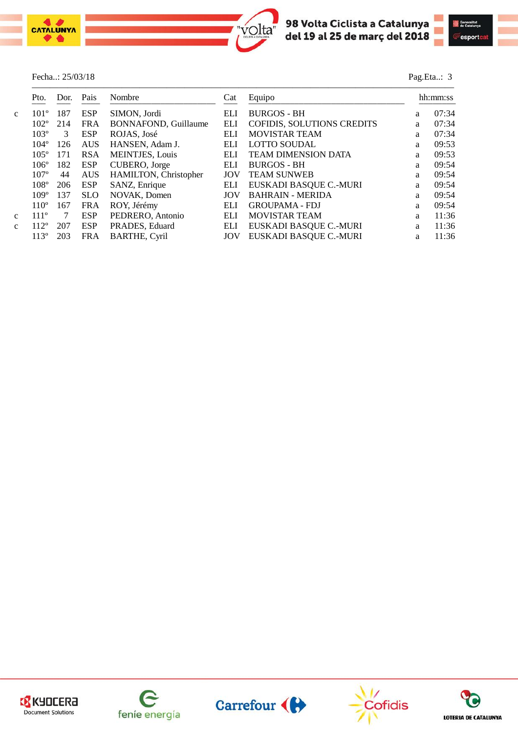

#### Fecha..: 25/03/18 Pag.Eta..: 3



| Pto.             | Dor. | Pais       | Nombre                      | Cat        | Equipo                     |   | hh:mm:ss |
|------------------|------|------------|-----------------------------|------------|----------------------------|---|----------|
| $101^{\circ}$    | 187  | <b>ESP</b> | SIMON, Jordi                | <b>ELI</b> | <b>BURGOS - BH</b>         | a | 07:34    |
| $102^{\circ}$    | 214  | <b>FRA</b> | <b>BONNAFOND, Guillaume</b> | <b>ELI</b> | COFIDIS, SOLUTIONS CREDITS | a | 07:34    |
| $103^\circ$      | 3    | ESP        | ROJAS, José                 | ELI        | <b>MOVISTAR TEAM</b>       | a | 07:34    |
| $104^\circ$      | 126  | <b>AUS</b> | HANSEN, Adam J.             | ELI        | <b>LOTTO SOUDAL</b>        | a | 09:53    |
| $105^\circ$      | 171  | <b>RSA</b> | <b>MEINTJES, Louis</b>      | <b>ELI</b> | <b>TEAM DIMENSION DATA</b> | a | 09:53    |
| $106^\circ$      | 182  | ESP        | CUBERO, Jorge               | ELI        | <b>BURGOS - BH</b>         | a | 09:54    |
| 107 <sup>o</sup> | 44   | <b>AUS</b> | HAMILTON, Christopher       | JOV        | <b>TEAM SUNWEB</b>         | a | 09:54    |
| $108^\circ$      | 206  | <b>ESP</b> | SANZ, Enrique               | <b>ELI</b> | EUSKADI BASQUE C.-MURI     | a | 09:54    |
| $109^\circ$      | 137  | <b>SLO</b> | NOVAK, Domen                | JOV        | <b>BAHRAIN - MERIDA</b>    | a | 09:54    |
| $110^\circ$      | 167  | <b>FRA</b> | ROY, Jérémy                 | ELI        | <b>GROUPAMA - FDJ</b>      | a | 09:54    |
| 111 <sup>°</sup> | -7   | <b>ESP</b> | PEDRERO, Antonio            | ELI        | <b>MOVISTAR TEAM</b>       | a | 11:36    |
| $112^{\circ}$    | 207  | <b>ESP</b> | PRADES, Eduard              | ELI        | EUSKADI BASQUE C.-MURI     | a | 11:36    |
| $113^{\circ}$    | 203  | <b>FRA</b> | <b>BARTHE, Cyril</b>        | JOV        | EUSKADI BASQUE C.-MURI     | a | 11:36    |









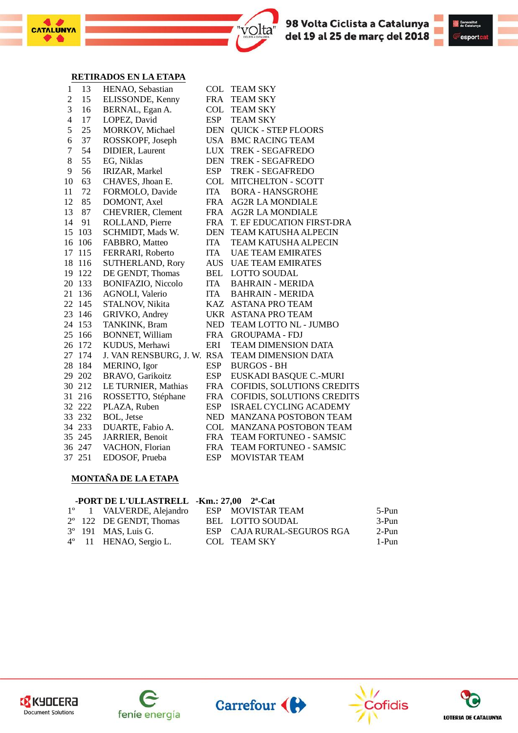





#### **RETIRADOS EN LA ETAPA**

|                |        | rethrados en la etata      |            |                               |
|----------------|--------|----------------------------|------------|-------------------------------|
| 1              | 13     | HENAO, Sebastian           | COL        | <b>TEAM SKY</b>               |
| $\overline{2}$ | 15     | ELISSONDE, Kenny           | <b>FRA</b> | <b>TEAM SKY</b>               |
| 3              | 16     | BERNAL, Egan A.            | COL        | <b>TEAM SKY</b>               |
| $\overline{4}$ | 17     | LOPEZ, David               | <b>ESP</b> | <b>TEAM SKY</b>               |
| 5              | 25     | MORKOV, Michael            | <b>DEN</b> | <b>QUICK - STEP FLOORS</b>    |
| 6              | 37     | ROSSKOPF, Joseph           |            | USA BMC RACING TEAM           |
| 7              | 54     | <b>DIDIER</b> , Laurent    | LUX        | TREK - SEGAFREDO              |
| 8              | 55     | EG, Niklas                 |            | DEN TREK - SEGAFREDO          |
| 9              | 56     | IRIZAR, Markel             | <b>ESP</b> | TREK - SEGAFREDO              |
| 10             | 63     | CHAVES, Jhoan E.           |            | COL MITCHELTON - SCOTT        |
| 11             | 72     | FORMOLO, Davide            | <b>ITA</b> | <b>BORA - HANSGROHE</b>       |
| 12             | 85     | DOMONT, Axel               | FRA        | <b>AG2R LA MONDIALE</b>       |
| 13             | 87     | CHEVRIER, Clement          | FRA        | <b>AG2R LA MONDIALE</b>       |
| 14             | 91     | ROLLAND, Pierre            | <b>FRA</b> | T. EF EDUCATION FIRST-DRA     |
| 15             | 103    | SCHMIDT, Mads W.           | DEN        | <b>TEAM KATUSHA ALPECIN</b>   |
| 16             | 106    | FABBRO, Matteo             | ITA        | <b>TEAM KATUSHA ALPECIN</b>   |
| 17             | 115    | FERRARI, Roberto           | ITA        | <b>UAE TEAM EMIRATES</b>      |
| 18             | 116    | SUTHERLAND, Rory           | AUS        | <b>UAE TEAM EMIRATES</b>      |
| 19             | 122    | DE GENDT, Thomas           | BEL        | <b>LOTTO SOUDAL</b>           |
| 20             | 133    | <b>BONIFAZIO, Niccolo</b>  | <b>ITA</b> | <b>BAHRAIN - MERIDA</b>       |
| 21             | 136    | <b>AGNOLI, Valerio</b>     | <b>ITA</b> | <b>BAHRAIN - MERIDA</b>       |
| 22             | 145    | STALNOV, Nikita            |            | KAZ ASTANA PRO TEAM           |
| 23             | 146    | GRIVKO, Andrey             |            | UKR ASTANA PRO TEAM           |
| 24             | 153    | TANKINK, Bram              | <b>NED</b> | TEAM LOTTO NL - JUMBO         |
| 25             | 166    | <b>BONNET, William</b>     | FRA        | <b>GROUPAMA - FDJ</b>         |
| 26             | 172    | KUDUS, Merhawi             | ERI        | <b>TEAM DIMENSION DATA</b>    |
| 27             | 174    | J. VAN RENSBURG, J. W. RSA |            | <b>TEAM DIMENSION DATA</b>    |
| 28             | 184    | MERINO, Igor               | <b>ESP</b> | <b>BURGOS - BH</b>            |
| 29             | 202    | BRAVO, Garikoitz           | <b>ESP</b> | EUSKADI BASQUE C.-MURI        |
| 30             | 212    | LE TURNIER, Mathias        | <b>FRA</b> | COFIDIS, SOLUTIONS CREDITS    |
| 31             | 216    | ROSSETTO, Stéphane         | <b>FRA</b> | COFIDIS, SOLUTIONS CREDITS    |
| 32             | 222    | PLAZA, Ruben               | <b>ESP</b> | <b>ISRAEL CYCLING ACADEMY</b> |
| 33             | 232    | BOL, Jetse                 | NED        | MANZANA POSTOBON TEAM         |
| 34             | 233    | DUARTE, Fabio A.           | <b>COL</b> | <b>MANZANA POSTOBON TEAM</b>  |
| 35             | 245    | JARRIER, Benoit            | <b>FRA</b> | <b>TEAM FORTUNEO - SAMSIC</b> |
| 36             | 247    | VACHON, Florian            | <b>FRA</b> | TEAM FORTUNEO - SAMSIC        |
|                | 37 251 | EDOSOF, Prueba             | <b>ESP</b> | <b>MOVISTAR TEAM</b>          |
|                |        |                            |            |                               |

#### **MONTAÑA DE LA ETAPA**

|  | -PORT DE L'ULLASTRELL -Km.: $27,00$ $2^a$ -Cat |                            |       |
|--|------------------------------------------------|----------------------------|-------|
|  | 1 <sup>°</sup> 1 VALVERDE, Alejandro           | ESP MOVISTAR TEAM          | 5-Pun |
|  | $2^{\circ}$ 122 DE GENDT, Thomas               | BEL LOTTO SOUDAL           | 3-Pun |
|  | 3° 191 MAS, Luis G.                            | ESP CAJA RURAL-SEGUROS RGA | 2-Pun |
|  | $4^{\circ}$ 11 HENAO, Sergio L.                | COL TEAM SKY               | 1-Pun |









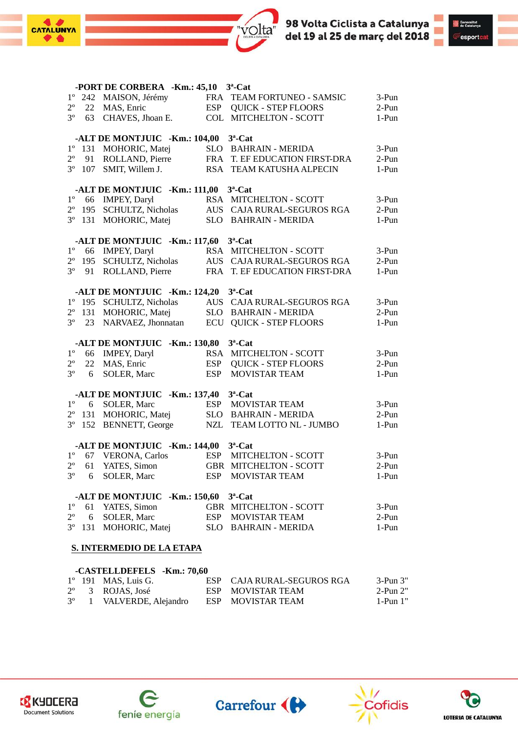



|             |    | -PORT DE CORBERA -Km.: 45,10 3 <sup>a</sup> -Cat  |            |                                |       |
|-------------|----|---------------------------------------------------|------------|--------------------------------|-------|
|             |    | 1º 242 MAISON, Jérémy                             |            | FRA TEAM FORTUNEO - SAMSIC     | 3-Pun |
| $2^{\circ}$ |    | 22 MAS, Enric                                     |            | ESP QUICK - STEP FLOORS        | 2-Pun |
| $3^{\circ}$ |    | 63 CHAVES, Jhoan E.                               |            | COL MITCHELTON - SCOTT         | 1-Pun |
|             |    | -ALT DE MONTJUIC -Km.: 104,00 3 <sup>a</sup> -Cat |            |                                |       |
| $1^{\circ}$ |    | 131 MOHORIC, Matej                                |            | SLO BAHRAIN - MERIDA           | 3-Pun |
| $2^{\circ}$ |    | 91 ROLLAND, Pierre                                |            | FRA T. EF EDUCATION FIRST-DRA  | 2-Pun |
| $3^{\circ}$ |    | 107 SMIT, Willem J.                               |            | RSA TEAM KATUSHA ALPECIN       | 1-Pun |
|             |    | -ALT DE MONTJUIC -Km.: 111,00 3 <sup>a</sup> -Cat |            |                                |       |
| $1^{\circ}$ |    | 66 IMPEY, Daryl                                   |            | RSA MITCHELTON - SCOTT         | 3-Pun |
| $2^{\circ}$ |    | 195 SCHULTZ, Nicholas                             |            | AUS CAJA RURAL-SEGUROS RGA     | 2-Pun |
| $3^{\circ}$ |    | 131 MOHORIC, Matej                                |            | SLO BAHRAIN - MERIDA           | 1-Pun |
|             |    | -ALT DE MONTJUIC -Km.: 117,60 3 <sup>a</sup> -Cat |            |                                |       |
| $1^{\circ}$ |    | 66 IMPEY, Daryl                                   |            | RSA MITCHELTON - SCOTT         | 3-Pun |
| $2^{\circ}$ |    | 195 SCHULTZ, Nicholas                             |            | AUS CAJA RURAL-SEGUROS RGA     | 2-Pun |
| $3^{\circ}$ |    | 91 ROLLAND, Pierre                                |            | FRA T. EF EDUCATION FIRST-DRA  | 1-Pun |
|             |    | -ALT DE MONTJUIC -Km.: 124,20 3 <sup>a</sup> -Cat |            |                                |       |
|             |    | 1º 195 SCHULTZ, Nicholas                          |            | AUS CAJA RURAL-SEGUROS RGA     | 3-Pun |
| $2^{\circ}$ |    | 131 MOHORIC, Matej                                |            | SLO BAHRAIN - MERIDA           | 2-Pun |
| $3^{\circ}$ | 23 | NARVAEZ, Jhonnatan                                |            | <b>ECU QUICK - STEP FLOORS</b> | 1-Pun |
|             |    | -ALT DE MONTJUIC -Km.: 130,80                     |            | $3^a$ -Cat                     |       |
| $1^{\circ}$ |    | 66 IMPEY, Daryl                                   |            | RSA MITCHELTON - SCOTT         | 3-Pun |
| $2^{\circ}$ |    | 22 MAS, Enric                                     | <b>ESP</b> | <b>QUICK - STEP FLOORS</b>     | 2-Pun |
| $3^{\circ}$ | 6  | SOLER, Marc                                       | <b>ESP</b> | <b>MOVISTAR TEAM</b>           | 1-Pun |
|             |    | -ALT DE MONTJUIC -Km.: 137,40 3 <sup>a</sup> -Cat |            |                                |       |
| $1^{\circ}$ |    | 6 SOLER, Marc                                     |            | ESP MOVISTAR TEAM              | 3-Pun |
| $2^{\circ}$ |    | 131 MOHORIC, Matej                                |            | SLO BAHRAIN - MERIDA           | 2-Pun |
| $3^{\circ}$ |    | 152 BENNETT, George                               |            | NZL TEAM LOTTO NL - JUMBO      | 1-Pun |
|             |    | -ALT DE MONTJUIC -Km.: 144,00 3 <sup>a</sup> -Cat |            |                                |       |
| $1^{\circ}$ | 67 | <b>VERONA, Carlos</b>                             |            | ESP MITCHELTON - SCOTT         | 3-Pun |
| $2^{\circ}$ | 61 | YATES, Simon                                      |            | <b>GBR MITCHELTON - SCOTT</b>  | 2-Pun |
| $3^{\circ}$ | 6  | SOLER, Marc                                       | <b>ESP</b> | MOVISTAR TEAM                  | 1-Pun |
|             |    | -ALT DE MONTJUIC -Km.: 150,60 3 <sup>a</sup> -Cat |            |                                |       |
| $1^{\circ}$ | 61 | YATES, Simon                                      |            | GBR MITCHELTON - SCOTT         | 3-Pun |
| $2^{\circ}$ |    | 6 SOLER, Marc                                     |            | ESP MOVISTAR TEAM              | 2-Pun |
| $3^{\circ}$ |    | 131 MOHORIC, Matej                                |            | SLO BAHRAIN - MERIDA           | 1-Pun |
|             |    | S. INTERMEDIO DE LA ETAPA                         |            |                                |       |
|             |    |                                                   |            |                                |       |

|  | -CASTELLDEFELS -Km.: 70,60           |                            |            |
|--|--------------------------------------|----------------------------|------------|
|  | $1^{\circ}$ 191 MAS, Luis G.         | ESP CAJA RURAL-SEGUROS RGA | $3-Pun 3"$ |
|  | $2^{\circ}$ 3 ROJAS, José            | ESP MOVISTAR TEAM          | 2-Pun 2"   |
|  | 3 <sup>°</sup> 1 VALVERDE, Alejandro | ESP MOVISTAR TEAM          | $1-Pun1"$  |



 $\bullet$ 

CATALUNYA







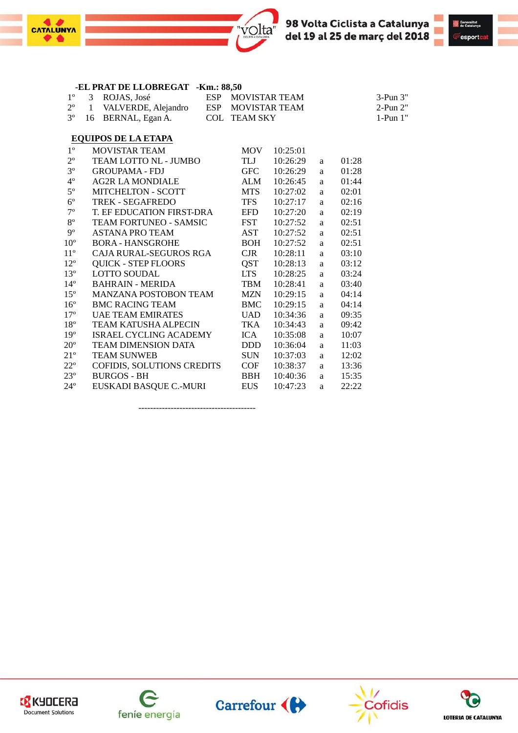



| $1^{\circ}$    | 3            | ROJAS, José                       | ESP |                     | <b>MOVISTAR TEAM</b> |   |       |          |
|----------------|--------------|-----------------------------------|-----|---------------------|----------------------|---|-------|----------|
| $2^{\circ}$    | $\mathbf{1}$ | VALVERDE, Alejandro               | ESP |                     | MOVISTAR TEAM        |   |       |          |
| 3 <sup>o</sup> | 16           | BERNAL, Egan A.                   |     | <b>COL TEAM SKY</b> |                      |   |       | 1-Pun 1" |
|                |              | <b>EQUIPOS DE LA ETAPA</b>        |     |                     |                      |   |       |          |
| $1^{\circ}$    |              | <b>MOVISTAR TEAM</b>              |     | <b>MOV</b>          | 10:25:01             |   |       |          |
| $2^{\circ}$    |              | TEAM LOTTO NL - JUMBO             |     | TLJ                 | 10:26:29             | a | 01:28 |          |
| $3^{\circ}$    |              | <b>GROUPAMA - FDJ</b>             |     | GFC                 | 10:26:29             | a | 01:28 |          |
| $4^{\circ}$    |              | <b>AG2R LA MONDIALE</b>           |     | ALM                 | 10:26:45             | a | 01:44 |          |
| $5^{\circ}$    |              | <b>MITCHELTON - SCOTT</b>         |     | <b>MTS</b>          | 10:27:02             | a | 02:01 |          |
| $6^{\rm o}$    |              | <b>TREK - SEGAFREDO</b>           |     | <b>TFS</b>          | 10:27:17             | a | 02:16 |          |
| $7^{\rm o}$    |              | T. EF EDUCATION FIRST-DRA         |     | EFD                 | 10:27:20             | a | 02:19 |          |
| $8^{\circ}$    |              | <b>TEAM FORTUNEO - SAMSIC</b>     |     | <b>FST</b>          | 10:27:52             | a | 02:51 |          |
| $9^{\circ}$    |              | <b>ASTANA PRO TEAM</b>            |     | AST                 | 10:27:52             | a | 02:51 |          |
| $10^{\circ}$   |              | <b>BORA - HANSGROHE</b>           |     | BOH                 | 10:27:52             | a | 02:51 |          |
| $11^{\circ}$   |              | CAJA RURAL-SEGUROS RGA            |     | CJR                 | 10:28:11             | a | 03:10 |          |
| $12^{\circ}$   |              | <b>QUICK - STEP FLOORS</b>        |     | QST                 | 10:28:13             | a | 03:12 |          |
| $13^{\circ}$   |              | <b>LOTTO SOUDAL</b>               |     | <b>LTS</b>          | 10:28:25             | a | 03:24 |          |
| $14^{\circ}$   |              | <b>BAHRAIN - MERIDA</b>           |     | TBM                 | 10:28:41             | a | 03:40 |          |
| $15^{\circ}$   |              | <b>MANZANA POSTOBON TEAM</b>      |     | <b>MZN</b>          | 10:29:15             | a | 04:14 |          |
| $16^{\circ}$   |              | <b>BMC RACING TEAM</b>            |     | BMC                 | 10:29:15             | a | 04:14 |          |
| $17^{\circ}$   |              | UAE TEAM EMIRATES                 |     | <b>UAD</b>          | 10:34:36             | a | 09:35 |          |
| $18^{\rm o}$   |              | TEAM KATUSHA ALPECIN              |     | TKA                 | 10:34:43             | a | 09:42 |          |
| $19^{\circ}$   |              | <b>ISRAEL CYCLING ACADEMY</b>     |     | ICA                 | 10:35:08             | a | 10:07 |          |
| $20^{\rm o}$   |              | <b>TEAM DIMENSION DATA</b>        |     | <b>DDD</b>          | 10:36:04             | a | 11:03 |          |
| $21^{\circ}$   |              | <b>TEAM SUNWEB</b>                |     | <b>SUN</b>          | 10:37:03             | a | 12:02 |          |
| $22^{\circ}$   |              | <b>COFIDIS, SOLUTIONS CREDITS</b> |     | COF                 | 10:38:37             | a | 13:36 |          |
| $23^{\circ}$   |              | <b>BURGOS - BH</b>                |     | <b>BBH</b>          | 10:40:36             | a | 15:35 |          |
| $24^{\circ}$   |              | EUSKADI BASQUE C.-MURI            |     | <b>EUS</b>          | 10:47:23             | a | 22:22 |          |
|                |              |                                   |     |                     |                      |   |       |          |

**-EL PRAT DE LLOBREGAT -Km.: 88,50**

 $\bullet$ 

**CATALUNYA** 

----------------------------------------









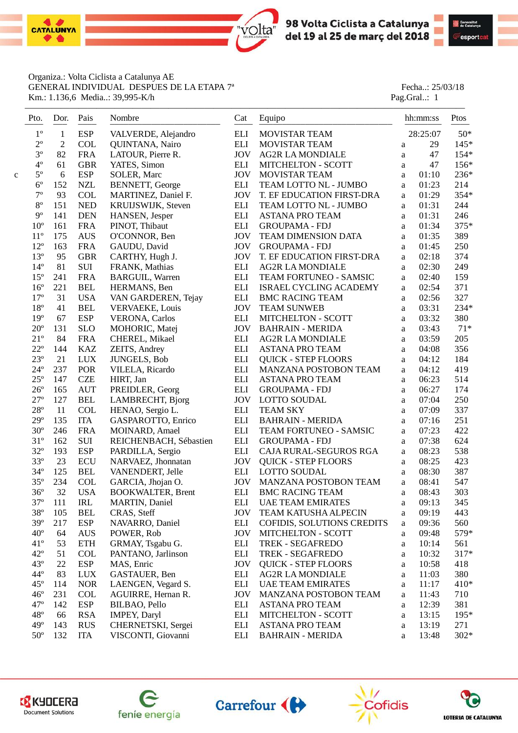



Organiza.: Volta Ciclista a Catalunya AE GENERAL INDIVIDUAL DESPUES DE LA ETAPA 7<sup>ª</sup> Fecha..: 25/03/18 Km.: 1.136,6 Media..: 39,995-K/h Pag.Gral..: 1

| Pto.         | Dor.           | Pais<br>---- | Nombre                   | Cat                  | Equipo                      |   | hh:mm:ss | Ptos   |
|--------------|----------------|--------------|--------------------------|----------------------|-----------------------------|---|----------|--------|
| $1^{\circ}$  | $\mathbf{1}$   | <b>ESP</b>   | VALVERDE, Alejandro      | <b>ELI</b>           | MOVISTAR TEAM               |   | 28:25:07 | $50*$  |
| $2^{\rm o}$  | $\overline{c}$ | <b>COL</b>   | QUINTANA, Nairo          | <b>ELI</b>           | <b>MOVISTAR TEAM</b>        | a | 29       | $145*$ |
| $3^{\circ}$  | 82             | <b>FRA</b>   | LATOUR, Pierre R.        | <b>JOV</b>           | <b>AG2R LA MONDIALE</b>     | a | 47       | 154*   |
| $4^{\circ}$  | 61             | <b>GBR</b>   | YATES, Simon             | ELI                  | MITCHELTON - SCOTT          | a | 47       | 156*   |
| $5^{\circ}$  | 6              | <b>ESP</b>   | SOLER, Marc              | <b>JOV</b>           | MOVISTAR TEAM               | a | 01:10    | 236*   |
| $6^{\circ}$  | 152            | <b>NZL</b>   | <b>BENNETT, George</b>   | <b>ELI</b>           | TEAM LOTTO NL - JUMBO       | a | 01:23    | 214    |
| $7^{\circ}$  | 93             | <b>COL</b>   | MARTINEZ, Daniel F.      | <b>JOV</b>           | T. EF EDUCATION FIRST-DRA   | a | 01:29    | 354*   |
| $8^{\rm o}$  | 151            | <b>NED</b>   | KRUIJSWIJK, Steven       | <b>ELI</b>           | TEAM LOTTO NL - JUMBO       | a | 01:31    | 244    |
| $9^{\circ}$  | 141            | <b>DEN</b>   | HANSEN, Jesper           | ELI                  | <b>ASTANA PRO TEAM</b>      | a | 01:31    | 246    |
| $10^{\circ}$ | 161            | <b>FRA</b>   | PINOT, Thibaut           | ELI                  | <b>GROUPAMA - FDJ</b>       | a | 01:34    | 375*   |
| $11^{\circ}$ | 175            | <b>AUS</b>   | O'CONNOR, Ben            | <b>JOV</b>           | TEAM DIMENSION DATA         | a | 01:35    | 389    |
| $12^{\circ}$ | 163            | <b>FRA</b>   | GAUDU, David             | <b>JOV</b>           | <b>GROUPAMA - FDJ</b>       | a | 01:45    | 250    |
| $13^{\circ}$ | 95             | <b>GBR</b>   | CARTHY, Hugh J.          | <b>JOV</b>           | T. EF EDUCATION FIRST-DRA   | a | 02:18    | 374    |
| $14^{\circ}$ | 81             | SUI          | FRANK, Mathias           | <b>ELI</b>           | <b>AG2R LA MONDIALE</b>     | a | 02:30    | 249    |
| $15^{\circ}$ | 241            | <b>FRA</b>   | <b>BARGUIL, Warren</b>   | ELI                  | TEAM FORTUNEO - SAMSIC      | a | 02:40    | 159    |
| $16^{\circ}$ | 221            | <b>BEL</b>   | HERMANS, Ben             | ELI                  | ISRAEL CYCLING ACADEMY      | a | 02:54    | 371    |
| $17^{\circ}$ | 31             | <b>USA</b>   | VAN GARDEREN, Tejay      | <b>ELI</b>           | <b>BMC RACING TEAM</b>      | a | 02:56    | 327    |
| $18^{\circ}$ | 41             | <b>BEL</b>   | <b>VERVAEKE, Louis</b>   | <b>JOV</b>           | <b>TEAM SUNWEB</b>          | a | 03:31    | 234*   |
| $19^{\circ}$ | 67             | <b>ESP</b>   | <b>VERONA</b> , Carlos   | <b>ELI</b>           | MITCHELTON - SCOTT          | a | 03:32    | 380    |
| $20^{\circ}$ | 131            | <b>SLO</b>   | MOHORIC, Matej           | <b>JOV</b>           | <b>BAHRAIN - MERIDA</b>     | a | 03:43    | $71*$  |
| $21^{\circ}$ | 84             | <b>FRA</b>   | CHEREL, Mikael           | ELI                  | <b>AG2R LA MONDIALE</b>     | a | 03:59    | 205    |
| $22^{\circ}$ | 144            | <b>KAZ</b>   | ZEITS, Andrey            | ELI                  | <b>ASTANA PRO TEAM</b>      | a | 04:08    | 356    |
| $23^{\circ}$ | 21             | <b>LUX</b>   | <b>JUNGELS, Bob</b>      | ELI                  | <b>QUICK - STEP FLOORS</b>  | a | 04:12    | 184    |
| $24^{\circ}$ | 237            | POR          | VILELA, Ricardo          | <b>ELI</b>           | MANZANA POSTOBON TEAM       | a | 04:12    | 419    |
| $25^{\circ}$ | 147            | <b>CZE</b>   | HIRT, Jan                | ELI                  | <b>ASTANA PRO TEAM</b>      | a | 06:23    | 514    |
| $26^{\circ}$ | 165            | <b>AUT</b>   | PREIDLER, Georg          | ELI                  | <b>GROUPAMA - FDJ</b>       | a | 06:27    | 174    |
| $27^{\circ}$ | 127            | <b>BEL</b>   | LAMBRECHT, Bjorg         | <b>JOV</b>           | <b>LOTTO SOUDAL</b>         | a | 07:04    | 250    |
| $28^{\circ}$ | 11             | <b>COL</b>   | HENAO, Sergio L.         | ELI                  | <b>TEAM SKY</b>             | a | 07:09    | 337    |
| $29^{\circ}$ | 135            | <b>ITA</b>   | GASPAROTTO, Enrico       | ELI                  | <b>BAHRAIN - MERIDA</b>     | a | 07:16    | 251    |
| $30^{\circ}$ | 246            | <b>FRA</b>   | MOINARD, Amael           | $\operatorname{ELI}$ | TEAM FORTUNEO - SAMSIC      | a | 07:23    | 422    |
| $31^{\circ}$ | 162            | $\rm SUI$    | REICHENBACH, Sébastien   | $\operatorname{ELI}$ | <b>GROUPAMA - FDJ</b>       | a | 07:38    | 624    |
| $32^{\circ}$ | 193            | <b>ESP</b>   | PARDILLA, Sergio         | <b>ELI</b>           | CAJA RURAL-SEGUROS RGA      | a | 08:23    | 538    |
| $33^{\circ}$ | 23             | <b>ECU</b>   | NARVAEZ, Jhonnatan       | <b>JOV</b>           | <b>QUICK - STEP FLOORS</b>  | a | 08:25    | 423    |
| $34^{\circ}$ | 125            | <b>BEL</b>   | VANENDERT, Jelle         | ELI                  | <b>LOTTO SOUDAL</b>         | a | 08:30    | 387    |
| $35^{\circ}$ | 234            | <b>COL</b>   | GARCIA, Jhojan O.        | <b>JOV</b>           | MANZANA POSTOBON TEAM       | a | 08:41    | 547    |
| $36^{\circ}$ | 32             | <b>USA</b>   | <b>BOOKWALTER, Brent</b> | <b>ELI</b>           | <b>BMC RACING TEAM</b>      | a | 08:43    | 303    |
| $37^{\circ}$ | 111            | IRL          | MARTIN, Daniel           | ELI                  | <b>UAE TEAM EMIRATES</b>    | a | 09:13    | 345    |
| $38^{\circ}$ | 105            | <b>BEL</b>   | CRAS, Steff              | <b>JOV</b>           | <b>TEAM KATUSHA ALPECIN</b> | a | 09:19    | 443    |
| 39°          | 217            | <b>ESP</b>   | NAVARRO, Daniel          | ELI                  | COFIDIS, SOLUTIONS CREDITS  | a | 09:36    | 560    |
| $40^{\circ}$ | 64             | <b>AUS</b>   | POWER, Rob               | <b>JOV</b>           | MITCHELTON - SCOTT          | a | 09:48    | 579*   |
| $41^{\circ}$ | 53             | <b>ETH</b>   | GRMAY, Tsgabu G.         | ELI                  | TREK - SEGAFREDO            | a | 10:14    | 561    |
| $42^{\circ}$ | 51             | <b>COL</b>   | PANTANO, Jarlinson       | ELI                  | TREK - SEGAFREDO            | a | 10:32    | 317*   |
| $43^{\circ}$ | 22             | <b>ESP</b>   | MAS, Enric               | <b>JOV</b>           | <b>QUICK - STEP FLOORS</b>  | a | 10:58    | 418    |
| $44^{\circ}$ | 83             | <b>LUX</b>   | GASTAUER, Ben            | ELI                  | <b>AG2R LA MONDIALE</b>     | a | 11:03    | 380    |
| $45^{\circ}$ | 114            | <b>NOR</b>   | LAENGEN, Vegard S.       | ELI                  | <b>UAE TEAM EMIRATES</b>    | a | 11:17    | $410*$ |
| $46^{\circ}$ | 231            | <b>COL</b>   | AGUIRRE, Hernan R.       | <b>JOV</b>           | MANZANA POSTOBON TEAM       | a | 11:43    | 710    |
| $47^{\circ}$ | 142            | <b>ESP</b>   | BILBAO, Pello            | ELI                  | <b>ASTANA PRO TEAM</b>      | a | 12:39    | 381    |
| $48^{\circ}$ | 66             | <b>RSA</b>   | IMPEY, Daryl             | ELI                  | MITCHELTON - SCOTT          | a | 13:15    | $195*$ |
| $49^\circ$   | 143            | <b>RUS</b>   | CHERNETSKI, Sergei       | ELI                  | <b>ASTANA PRO TEAM</b>      | a | 13:19    | 271    |
| $50^{\circ}$ | 132            | <b>ITA</b>   | VISCONTI, Giovanni       | ELI                  | <b>BAHRAIN - MERIDA</b>     | a | 13:48    | $302*$ |









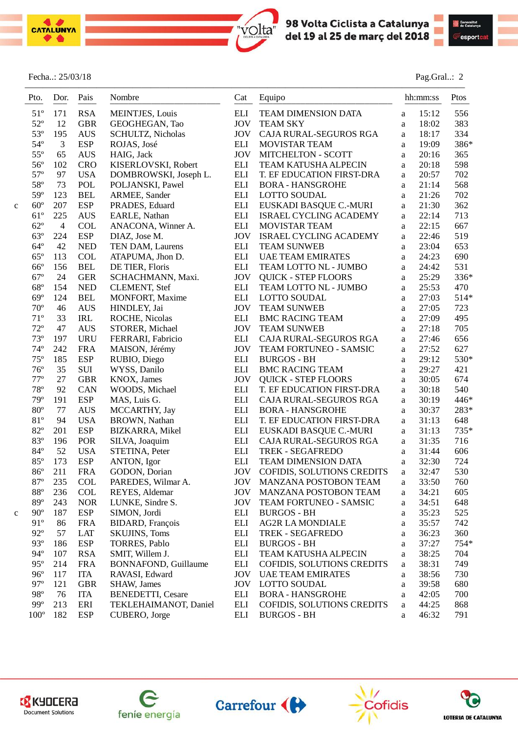



#### Fecha..: 25/03/18 Pag.Gral..: 2

|   | Pto.          | Dor.           | Pais<br>---- | Nombre                   | Cat                | Equipo                       |              | hh:mm:ss | Ptos |
|---|---------------|----------------|--------------|--------------------------|--------------------|------------------------------|--------------|----------|------|
|   | $51^{\circ}$  | 171            | <b>RSA</b>   | <b>MEINTJES, Louis</b>   | ELI                | TEAM DIMENSION DATA          | a            | 15:12    | 556  |
|   | $52^{\circ}$  | 12             | <b>GBR</b>   | GEOGHEGAN, Tao           | <b>JOV</b>         | <b>TEAM SKY</b>              | a            | 18:02    | 383  |
|   | $53^{\circ}$  | 195            | <b>AUS</b>   | SCHULTZ, Nicholas        | <b>JOV</b>         | CAJA RURAL-SEGUROS RGA       | a            | 18:17    | 334  |
|   | $54^{\circ}$  | 3              | <b>ESP</b>   | ROJAS, José              | ELI                | <b>MOVISTAR TEAM</b>         | a            | 19:09    | 386* |
|   | $55^{\circ}$  | 65             | <b>AUS</b>   | HAIG, Jack               | <b>JOV</b>         | <b>MITCHELTON - SCOTT</b>    | $\rm{a}$     | 20:16    | 365  |
|   | $56^{\circ}$  | 102            | <b>CRO</b>   | KISERLOVSKI, Robert      | $\mathop{\rm ELI}$ | TEAM KATUSHA ALPECIN         | $\mathbf{a}$ | 20:18    | 598  |
|   | $57^{\circ}$  | 97             | <b>USA</b>   | DOMBROWSKI, Joseph L.    | $\mathop{\rm ELI}$ | T. EF EDUCATION FIRST-DRA    | a            | 20:57    | 702  |
|   | $58^{\circ}$  | 73             | POL          | POLJANSKI, Pawel         | ELI                | <b>BORA - HANSGROHE</b>      | a            | 21:14    | 568  |
|   | $59^\circ$    | 123            | <b>BEL</b>   | ARMEE, Sander            | <b>ELI</b>         | LOTTO SOUDAL                 | a            | 21:26    | 702  |
| c | $60^{\circ}$  | 207            | <b>ESP</b>   | PRADES, Eduard           | ELI                | EUSKADI BASQUE C.-MURI       | a            | 21:30    | 362  |
|   | $61^{\circ}$  | 225            | <b>AUS</b>   | EARLE, Nathan            | $\mathop{\rm ELI}$ | ISRAEL CYCLING ACADEMY       | a            | 22:14    | 713  |
|   | $62^{\circ}$  | $\overline{4}$ | <b>COL</b>   | ANACONA, Winner A.       | ELI                | <b>MOVISTAR TEAM</b>         | a            | 22:15    | 667  |
|   | $63^{\circ}$  | 224            | <b>ESP</b>   | DIAZ, Jose M.            | <b>JOV</b>         | ISRAEL CYCLING ACADEMY       | a            | 22:46    | 519  |
|   | $64^{\circ}$  | 42             | <b>NED</b>   | TEN DAM, Laurens         | <b>ELI</b>         | <b>TEAM SUNWEB</b>           | a            | 23:04    | 653  |
|   | $65^{\circ}$  | 113            | <b>COL</b>   | ATAPUMA, Jhon D.         | $\mathop{\rm ELI}$ | <b>UAE TEAM EMIRATES</b>     | a            | 24:23    | 690  |
|   | $66^{\circ}$  | 156            | <b>BEL</b>   | DE TIER, Floris          | <b>ELI</b>         | TEAM LOTTO NL - JUMBO        | a            | 24:42    | 531  |
|   | $67^\circ$    | 24             | <b>GER</b>   | SCHACHMANN, Maxi.        | <b>JOV</b>         | <b>QUICK - STEP FLOORS</b>   | $\rm{a}$     | 25:29    | 336* |
|   | $68^{\circ}$  | 154            | <b>NED</b>   | <b>CLEMENT, Stef</b>     | ELI                | TEAM LOTTO NL - JUMBO        | a            | 25:53    | 470  |
|   | $69^\circ$    | 124            | <b>BEL</b>   | <b>MONFORT, Maxime</b>   | ELI                | <b>LOTTO SOUDAL</b>          | $\rm{a}$     | 27:03    | 514* |
|   | $70^{\rm o}$  | 46             | <b>AUS</b>   | HINDLEY, Jai             | <b>JOV</b>         | <b>TEAM SUNWEB</b>           | $\rm{a}$     | 27:05    | 723  |
|   | $71^{\circ}$  | 33             | IRL          | ROCHE, Nicolas           | <b>ELI</b>         | <b>BMC RACING TEAM</b>       | a            | 27:09    | 495  |
|   | $72^{\circ}$  | 47             | <b>AUS</b>   | STORER, Michael          | <b>JOV</b>         | <b>TEAM SUNWEB</b>           | a            | 27:18    | 705  |
|   | $73^{\circ}$  | 197            | <b>URU</b>   | FERRARI, Fabricio        | <b>ELI</b>         | CAJA RURAL-SEGUROS RGA       | a            | 27:46    | 656  |
|   | $74^{\circ}$  | 242            | <b>FRA</b>   | MAISON, Jérémy           | <b>JOV</b>         | TEAM FORTUNEO - SAMSIC       | $\rm{a}$     | 27:52    | 627  |
|   | $75^{\circ}$  | 185            | <b>ESP</b>   | RUBIO, Diego             | <b>ELI</b>         | <b>BURGOS - BH</b>           | a            | 29:12    | 530* |
|   | $76^{\circ}$  | 35             | $\rm SUI$    | WYSS, Danilo             | <b>ELI</b>         | <b>BMC RACING TEAM</b>       | $\mathbf{a}$ | 29:27    | 421  |
|   | $77^{\circ}$  | 27             | <b>GBR</b>   | KNOX, James              | <b>JOV</b>         | <b>QUICK - STEP FLOORS</b>   | a            | 30:05    | 674  |
|   | $78^{\circ}$  | 92             | CAN          | WOODS, Michael           | <b>ELI</b>         | T. EF EDUCATION FIRST-DRA    | a            | 30:18    | 540  |
|   | 79°           | 191            | <b>ESP</b>   | MAS, Luis G.             | ELI                | CAJA RURAL-SEGUROS RGA       | a            | 30:19    | 446* |
|   | $80^{\circ}$  | 77             | <b>AUS</b>   | MCCARTHY, Jay            | <b>ELI</b>         | <b>BORA - HANSGROHE</b>      | a            | 30:37    | 283* |
|   | 81°           | 94             | <b>USA</b>   | BROWN, Nathan            | $\mathop{\rm ELI}$ | T. EF EDUCATION FIRST-DRA    | $\mathbf{a}$ | 31:13    | 648  |
|   | $82^{\circ}$  | 201            | <b>ESP</b>   | BIZKARRA, Mikel          | $\mathop{\rm ELI}$ | EUSKADI BASQUE C.-MURI       | a            | 31:13    | 735* |
|   | 83°           | 196            | POR          | SILVA, Joaquim           | <b>ELI</b>         | CAJA RURAL-SEGUROS RGA       | a            | 31:35    | 716  |
|   | 84°           | 52             | <b>USA</b>   | STETINA, Peter           | <b>ELI</b>         | TREK - SEGAFREDO             | a            | 31:44    | 606  |
|   | $85^{\circ}$  | 173            | <b>ESP</b>   | ANTON, Igor              | <b>ELI</b>         | TEAM DIMENSION DATA          | a            | 32:30    | 724  |
|   | $86^{\circ}$  | 211            | <b>FRA</b>   | GODON, Dorian            | <b>JOV</b>         | COFIDIS, SOLUTIONS CREDITS   | a            | 32:47    | 530  |
|   | $87^{\circ}$  | 235            | COL          | PAREDES, Wilmar A.       | <b>JOV</b>         | <b>MANZANA POSTOBON TEAM</b> | a            | 33:50    | 760  |
|   | $88^{\rm o}$  | 236            | <b>COL</b>   | REYES, Aldemar           | JOV                | MANZANA POSTOBON TEAM        | a            | 34:21    | 605  |
|   | 89°           | 243            | <b>NOR</b>   | LUNKE, Sindre S.         | <b>JOV</b>         | TEAM FORTUNEO - SAMSIC       | a            | 34:51    | 648  |
| c | $90^\circ$    | 187            | <b>ESP</b>   | SIMON, Jordi             | ELI                | <b>BURGOS - BH</b>           | a            | 35:23    | 525  |
|   | 91°           | 86             | <b>FRA</b>   | BIDARD, François         | ELI                | <b>AG2R LA MONDIALE</b>      | a            | 35:57    | 742  |
|   | $92^{\circ}$  | 57             | <b>LAT</b>   | <b>SKUJINS, Toms</b>     | ELI                | TREK - SEGAFREDO             | a            | 36:23    | 360  |
|   | $93^\circ$    | 186            | <b>ESP</b>   | TORRES, Pablo            | ELI                | <b>BURGOS - BH</b>           | a            | 37:27    | 754* |
|   | $94^{\circ}$  | 107            | <b>RSA</b>   | SMIT, Willem J.          | ELI                | TEAM KATUSHA ALPECIN         | a            | 38:25    | 704  |
|   | $95^{\circ}$  | 214            | <b>FRA</b>   | BONNAFOND, Guillaume     | ELI                | COFIDIS, SOLUTIONS CREDITS   | a            | 38:31    | 749  |
|   | $96^{\circ}$  | 117            | <b>ITA</b>   | RAVASI, Edward           | <b>JOV</b>         | <b>UAE TEAM EMIRATES</b>     | a            | 38:56    | 730  |
|   | $97^\circ$    | 121            | <b>GBR</b>   | SHAW, James              | <b>JOV</b>         | LOTTO SOUDAL                 | a            | 39:58    | 680  |
|   | 98°           | 76             | <b>ITA</b>   | <b>BENEDETTI, Cesare</b> | ELI                | <b>BORA - HANSGROHE</b>      | a            | 42:05    | 700  |
|   | $99^\circ$    | 213            | ERI          | TEKLEHAIMANOT, Daniel    | ELI                | COFIDIS, SOLUTIONS CREDITS   | a            | 44:25    | 868  |
|   | $100^{\circ}$ | 182            | <b>ESP</b>   | CUBERO, Jorge            | ELI                | <b>BURGOS - BH</b>           | $\rm{a}$     | 46:32    | 791  |
|   |               |                |              |                          |                    |                              |              |          |      |

 $\mathcal{L}=\{1,2,3,4\}$  , we can consider the constant of  $\mathcal{L}=\{1,2,3,4\}$ 

volta"









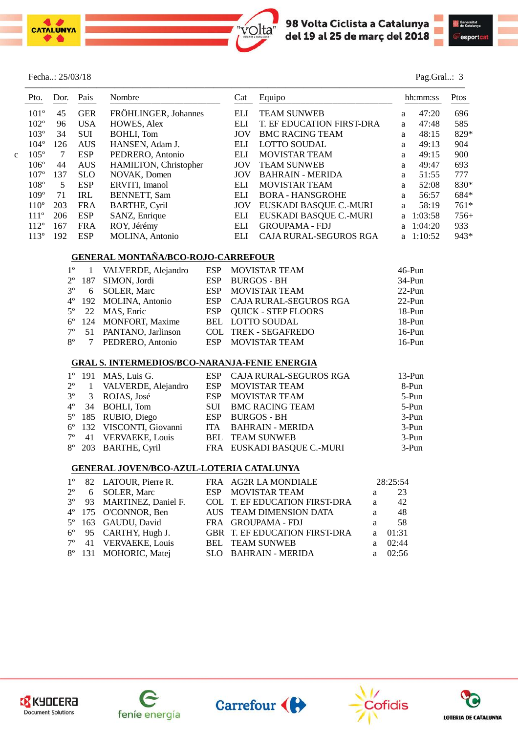



Pag.Gral..: 3

|  | Fecha: 25/03/18 |
|--|-----------------|
|--|-----------------|

|   | Pto.             | Dor. | Pais       | Nombre                | Cat | Equipo                    |    | hh:mm:ss    |        |  |
|---|------------------|------|------------|-----------------------|-----|---------------------------|----|-------------|--------|--|
|   | $101^{\circ}$    | 45   | <b>GER</b> | FRÖHLINGER, Johannes  | ELI | <b>TEAM SUNWEB</b>        | a  | 47:20       | 696    |  |
|   | 102 <sup>o</sup> | 96   | <b>USA</b> | HOWES, Alex           | ELI | T. EF EDUCATION FIRST-DRA | a  | 47:48       | 585    |  |
|   | $103^\circ$      | 34   | SUI        | BOHLI, Tom            | JOV | <b>BMC RACING TEAM</b>    | a  | 48:15       | 829*   |  |
|   | $104^\circ$      | 126  | <b>AUS</b> | HANSEN, Adam J.       | ELI | <b>LOTTO SOUDAL</b>       | a  | 49:13       | 904    |  |
| ◠ | $105^\circ$      | 7    | <b>ESP</b> | PEDRERO, Antonio      | ELI | <b>MOVISTAR TEAM</b>      | a  | 49:15       | 900    |  |
|   | $106^\circ$      | 44   | <b>AUS</b> | HAMILTON, Christopher | JOV | <b>TEAM SUNWEB</b>        | a  | 49:47       | 693    |  |
|   | 107 <sup>o</sup> | 137  | <b>SLO</b> | NOVAK, Domen          | JOV | <b>BAHRAIN - MERIDA</b>   | a  | 51:55       | 777    |  |
|   | $108^\circ$      | 5    | <b>ESP</b> | ERVITI, Imanol        | ELI | <b>MOVISTAR TEAM</b>      | a  | 52:08       | 830*   |  |
|   | $109^\circ$      | 71   | <b>IRL</b> | <b>BENNETT, Sam</b>   | ELI | <b>BORA - HANSGROHE</b>   | a  | 56:57       | 684*   |  |
|   | 110 <sup>o</sup> | 203  | <b>FRA</b> | <b>BARTHE, Cyril</b>  | JOV | EUSKADI BASQUE C.-MURI    | a  | 58:19       | $761*$ |  |
|   | $111^{\circ}$    | 206  | <b>ESP</b> | SANZ, Enrique         | ELI | EUSKADI BASQUE C.-MURI    | a. | 1:03:58     | $756+$ |  |
|   | $112^{\circ}$    | 167  | <b>FRA</b> | ROY, Jérémy           | ELI | <b>GROUPAMA - FDJ</b>     |    | a $1:04:20$ | 933    |  |
|   | $113^{\circ}$    | 192  | <b>ESP</b> | MOLINA, Antonio       | ELI | CAJA RURAL-SEGUROS RGA    |    | a $1:10:52$ | 943*   |  |

#### **GENERAL MONTAÑA/BCO-ROJO-CARREFOUR**

|  | 1 <sup>°</sup> 1 VALVERDE, Alejandro | ESP MOVISTAR TEAM          | $46$ -Pun |
|--|--------------------------------------|----------------------------|-----------|
|  | $2^{\circ}$ 187 SIMON, Jordi         | ESP BURGOS - BH            | $34-Pun$  |
|  | 3° 6 SOLER, Marc                     | ESP MOVISTAR TEAM          | $22$ -Pun |
|  | 4° 192 MOLINA, Antonio               | ESP CAJA RURAL-SEGUROS RGA | $22-Pun$  |
|  | 5° 22 MAS, Enric                     | ESP QUICK - STEP FLOORS    | $18-Pun$  |
|  | 6° 124 MONFORT, Maxime               | BEL LOTTO SOUDAL           | $18-Pun$  |
|  | 7º 51 PANTANO, Jarlinson             | COL TREK - SEGAFREDO       | $16-Pun$  |
|  | 8° 7 PEDRERO, Antonio                | ESP MOVISTAR TEAM          | $16-Pun$  |

#### **GRAL S. INTERMEDIOS/BCO-NARANJA-FENIE ENERGIA**

|  | $1^{\circ}$ 191 MAS, Luis G.         | ESP CAJA RURAL-SEGUROS RGA | $13-Pun$ |
|--|--------------------------------------|----------------------------|----------|
|  | 2 <sup>°</sup> 1 VALVERDE, Alejandro | ESP MOVISTAR TEAM          | 8-Pun    |
|  | 3 <sup>°</sup> 3 ROJAS, José         | ESP MOVISTAR TEAM          | 5-Pun    |
|  | $4^{\circ}$ 34 BOHLI, Tom            | SUI BMC RACING TEAM        | $5-Pun$  |
|  | 5° 185 RUBIO, Diego                  | ESP BURGOS - BH            | $3-Pun$  |
|  | 6° 132 VISCONTI, Giovanni            | ITA BAHRAIN - MERIDA       | $3-Pun$  |
|  | 7° 41 VERVAEKE, Louis                | <b>BEL TEAM SUNWEB</b>     | $3-Pun$  |
|  | 8° 203 BARTHE, Cyril                 | FRA EUSKADI BASQUE C.-MURI | $3-Pun$  |

#### **GENERAL JOVEN/BCO-AZUL-LOTERIA CATALUNYA**

|  | 1° 82 LATOUR, Pierre R.        | FRA AG2R LA MONDIALE          |              | 28:25:54  |
|--|--------------------------------|-------------------------------|--------------|-----------|
|  | $2^{\circ}$ 6 SOLER, Marc      | ESP MOVISTAR TEAM             | a            | 23        |
|  | 3° 93 MARTINEZ, Daniel F.      | COL T. EF EDUCATION FIRST-DRA | a            | 42        |
|  | 4° 175 O'CONNOR, Ben           | AUS TEAM DIMENSION DATA       | a            | - 48      |
|  | 5° 163 GAUDU, David            | FRA GROUPAMA-FDJ              | a            | - 58      |
|  | $6^{\circ}$ 95 CARTHY, Hugh J. | GBR T. EF EDUCATION FIRST-DRA | $\mathbf{a}$ | 01:31     |
|  | 7° 41 VERVAEKE, Louis          | <b>BEL TEAM SUNWEB</b>        |              | a $02:44$ |
|  | 8° 131 MOHORIC, Matej          | SLO BAHRAIN - MERIDA          |              | a $02:56$ |